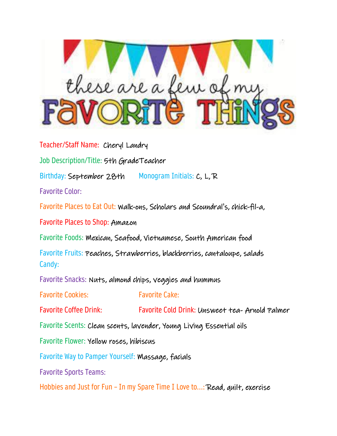

Teacher/Staff Name: Cheryl Landry Job Description/Title: 5th GradeTeacher Birthday: September 28th Monogram Initials: C, L, R Favorite Color: Favorite Places to Eat Out: Walk-ons, Scholars and Scoundral's, chick-fil-a, Favorite Places to Shop: Amazon Favorite Foods: Mexican, Seafood, Vietnamese, South American food Favorite Fruits: Peaches, Strawberries, blackberries, cantaloupe, salads Candy: Favorite Snacks: Nuts, almond chips, veggies and hummus Favorite Cookies: Favorite Cake: Favorite Coffee Drink: Favorite Cold Drink: Unsweet tea- Arnold Palmer Favorite Scents: Clean scents, lavender, Young Living Essential oils Favorite Flower: Yellow roses, hibiscus Favorite Way to Pamper Yourself: Massage, facials Favorite Sports Teams: Hobbies and Just for Fun – In my Spare Time I Love to...: Read, quilt, exercise